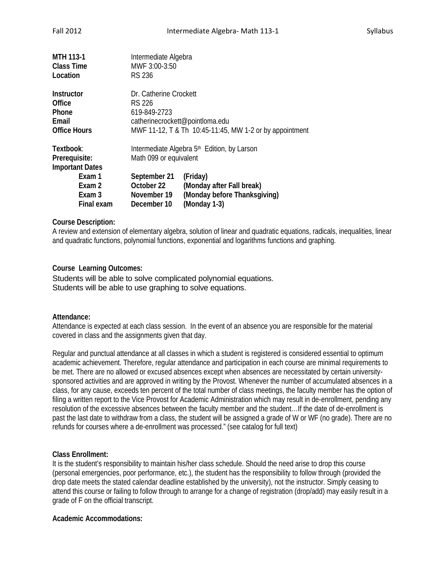| <b>MTH 113-1</b><br><b>Class Time</b><br>Location                           | Intermediate Algebra<br>MWF 3:00-3:50<br><b>RS 236</b>   |                                                                                                                      |  |
|-----------------------------------------------------------------------------|----------------------------------------------------------|----------------------------------------------------------------------------------------------------------------------|--|
| <b>Instructor</b><br><b>Office</b><br>Phone<br>Email<br><b>Office Hours</b> | <b>RS 226</b><br>619-849-2723                            | Dr. Catherine Crockett<br>catherinecrockett@pointloma.edu<br>MWF 11-12, T & Th 10:45-11:45, MW 1-2 or by appointment |  |
| Textbook:<br>Prerequisite:<br><b>Important Dates</b>                        |                                                          | Intermediate Algebra 5 <sup>th</sup> Edition, by Larson<br>Math 099 or equivalent                                    |  |
| Exam 1<br>Exam 2<br>Exam 3<br>Final exam                                    | September 21<br>October 22<br>November 19<br>December 10 | (Friday)<br>(Monday after Fall break)<br>(Monday before Thanksgiving)<br>(Monday 1-3)                                |  |

# **Course Description:**

A review and extension of elementary algebra, solution of linear and quadratic equations, radicals, inequalities, linear and quadratic functions, polynomial functions, exponential and logarithms functions and graphing.

# **Course Learning Outcomes:**

Students will be able to solve complicated polynomial equations. Students will be able to use graphing to solve equations.

## **Attendance:**

Attendance is expected at each class session. In the event of an absence you are responsible for the material covered in class and the assignments given that day.

Regular and punctual attendance at all classes in which a student is registered is considered essential to optimum academic achievement. Therefore, regular attendance and participation in each course are minimal requirements to be met. There are no allowed or excused absences except when absences are necessitated by certain universitysponsored activities and are approved in writing by the Provost. Whenever the number of accumulated absences in a class, for any cause, exceeds ten percent of the total number of class meetings, the faculty member has the option of filing a written report to the Vice Provost for Academic Administration which may result in de-enrollment, pending any resolution of the excessive absences between the faculty member and the student…If the date of de-enrollment is past the last date to withdraw from a class, the student will be assigned a grade of W or WF (no grade). There are no refunds for courses where a de-enrollment was processed." (see catalog for full text)

## **Class Enrollment:**

It is the student's responsibility to maintain his/her class schedule. Should the need arise to drop this course (personal emergencies, poor performance, etc.), the student has the responsibility to follow through (provided the drop date meets the stated calendar deadline established by the university), not the instructor. Simply ceasing to attend this course or failing to follow through to arrange for a change of registration (drop/add) may easily result in a grade of F on the official transcript.

## **Academic Accommodations:**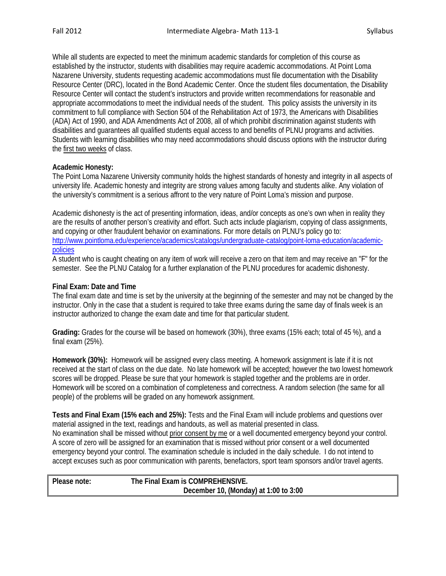While all students are expected to meet the minimum academic standards for completion of this course as established by the instructor, students with disabilities may require academic accommodations. At Point Loma Nazarene University, students requesting academic accommodations must file documentation with the Disability Resource Center (DRC), located in the Bond Academic Center. Once the student files documentation, the Disability Resource Center will contact the student's instructors and provide written recommendations for reasonable and appropriate accommodations to meet the individual needs of the student. This policy assists the university in its commitment to full compliance with Section 504 of the Rehabilitation Act of 1973, the Americans with Disabilities (ADA) Act of 1990, and ADA Amendments Act of 2008, all of which prohibit discrimination against students with disabilities and guarantees all qualified students equal access to and benefits of PLNU programs and activities. Students with learning disabilities who may need accommodations should discuss options with the instructor during the first two weeks of class.

### **Academic Honesty:**

The Point Loma Nazarene University community holds the highest standards of honesty and integrity in all aspects of university life. Academic honesty and integrity are strong values among faculty and students alike. Any violation of the university's commitment is a serious affront to the very nature of Point Loma's mission and purpose.

Academic dishonesty is the act of presenting information, ideas, and/or concepts as one's own when in reality they are the results of another person's creativity and effort. Such acts include plagiarism, copying of class assignments, and copying or other fraudulent behavior on examinations. For more details on PLNU's policy go to: [http://www.pointloma.edu/experience/academics/catalogs/undergraduate-catalog/point-loma-education/academic](http://www.pointloma.edu/experience/academics/catalogs/undergraduate-catalog/point-loma-education/academic-policies)[policies](http://www.pointloma.edu/experience/academics/catalogs/undergraduate-catalog/point-loma-education/academic-policies)

A student who is caught cheating on any item of work will receive a zero on that item and may receive an "F" for the semester. See the PLNU Catalog for a further explanation of the PLNU procedures for academic dishonesty.

### **Final Exam: Date and Time**

The final exam date and time is set by the university at the beginning of the semester and may not be changed by the instructor. Only in the case that a student is required to take three exams during the same day of finals week is an instructor authorized to change the exam date and time for that particular student.

**Grading:** Grades for the course will be based on homework (30%), three exams (15% each; total of 45 %), and a final exam (25%).

**Homework (30%):** Homework will be assigned every class meeting. A homework assignment is late if it is not received at the start of class on the due date. No late homework will be accepted; however the two lowest homework scores will be dropped. Please be sure that your homework is stapled together and the problems are in order. Homework will be scored on a combination of completeness and correctness. A random selection (the same for all people) of the problems will be graded on any homework assignment.

**Tests and Final Exam (15% each and 25%):** Tests and the Final Exam will include problems and questions over material assigned in the text, readings and handouts, as well as material presented in class. No examination shall be missed without prior consent by me or a well documented emergency beyond your control. A score of zero will be assigned for an examination that is missed without prior consent or a well documented emergency beyond your control. The examination schedule is included in the daily schedule. I do not intend to accept excuses such as poor communication with parents, benefactors, sport team sponsors and/or travel agents.

| Please note: | The Final Exam is COMPREHENSIVE.      |
|--------------|---------------------------------------|
|              | December 10, (Monday) at 1:00 to 3:00 |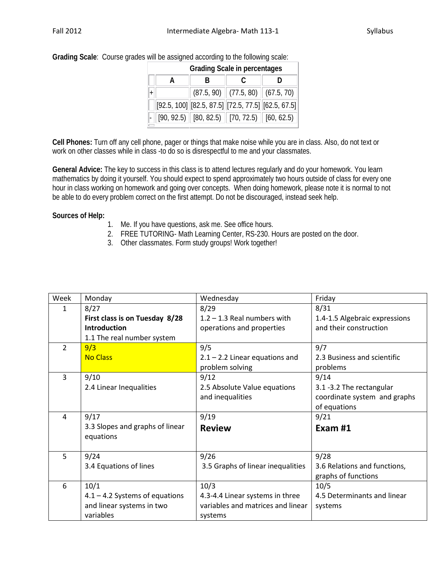| <b>Grading Scale in percentages</b> |  |                                                            |                                        |  |
|-------------------------------------|--|------------------------------------------------------------|----------------------------------------|--|
|                                     |  | R                                                          |                                        |  |
|                                     |  |                                                            | $(87.5, 90)$ $(77.5, 80)$ $(67.5, 70)$ |  |
|                                     |  | $[92.5, 100]$ $[82.5, 87.5]$ $[72.5, 77.5]$ $[62.5, 67.5]$ |                                        |  |
|                                     |  | $[90, 92.5]$ [80, 82.5) [70, 72.5) [60, 62.5]              |                                        |  |

**Grading Scale**: Course grades will be assigned according to the following scale:

**Cell Phones:** Turn off any cell phone, pager or things that make noise while you are in class. Also, do not text or work on other classes while in class -to do so is disrespectful to me and your classmates.

**General Advice:** The key to success in this class is to attend lectures regularly and do your homework. You learn mathematics by doing it yourself. You should expect to spend approximately two hours outside of class for every one hour in class working on homework and going over concepts. When doing homework, please note it is normal to not be able to do every problem correct on the first attempt. Do not be discouraged, instead seek help.

# **Sources of Help:**

- 1. Me. If you have questions, ask me. See office hours.
- 2. FREE TUTORING- Math Learning Center, RS-230. Hours are posted on the door.
- 3. Other classmates. Form study groups! Work together!

| Week           | Monday                                       | Wednesday                         | Friday                        |
|----------------|----------------------------------------------|-----------------------------------|-------------------------------|
| $\mathbf{1}$   | 8/27                                         | 8/29                              | 8/31                          |
|                | First class is on Tuesday 8/28               | $1.2 - 1.3$ Real numbers with     | 1.4-1.5 Algebraic expressions |
|                | <b>Introduction</b>                          | operations and properties         | and their construction        |
|                | 1.1 The real number system                   |                                   |                               |
| $\overline{2}$ | 9/3                                          | 9/5                               | 9/7                           |
|                | <b>No Class</b>                              | $2.1 - 2.2$ Linear equations and  | 2.3 Business and scientific   |
|                |                                              | problem solving                   | problems                      |
| 3              | 9/10                                         | 9/12                              | 9/14                          |
|                | 2.4 Linear Inequalities                      | 2.5 Absolute Value equations      | 3.1 -3.2 The rectangular      |
|                |                                              | and inequalities                  | coordinate system and graphs  |
|                |                                              |                                   | of equations                  |
| $\overline{a}$ | 9/17                                         | 9/19                              | 9/21                          |
|                | 3.3 Slopes and graphs of linear<br>equations | <b>Review</b>                     | Exam #1                       |
| 5              | 9/24                                         | 9/26                              | 9/28                          |
|                | 3.4 Equations of lines                       | 3.5 Graphs of linear inequalities | 3.6 Relations and functions,  |
|                |                                              |                                   | graphs of functions           |
| 6              | 10/1                                         | 10/3                              | 10/5                          |
|                | $4.1 - 4.2$ Systems of equations             | 4.3-4.4 Linear systems in three   | 4.5 Determinants and linear   |
|                | and linear systems in two                    | variables and matrices and linear | systems                       |
|                | variables                                    | systems                           |                               |